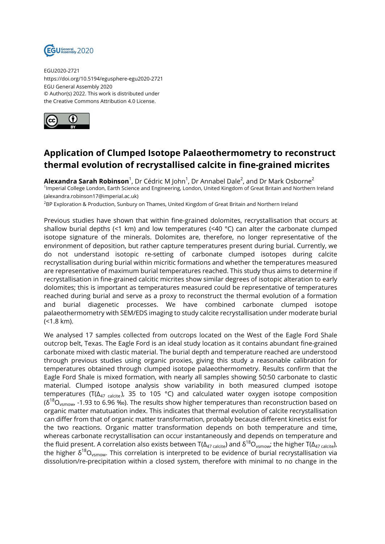

EGU2020-2721 https://doi.org/10.5194/egusphere-egu2020-2721 EGU General Assembly 2020 © Author(s) 2022. This work is distributed under the Creative Commons Attribution 4.0 License.



## **Application of Clumped Isotope Palaeothermometry to reconstruct thermal evolution of recrystallised calcite in fine-grained micrites**

**Alexandra Sarah Robinson**<sup>1</sup>, Dr Cédric M John<sup>1</sup>, Dr Annabel Dale<sup>2</sup>, and Dr Mark Osborne<sup>2</sup> <sup>1</sup>Imperial College London, Earth Science and Engineering, London, United Kingdom of Great Britain and Northern Ireland (alexandra.robinson17@imperial.ac.uk)

<sup>2</sup>BP Exploration & Production, Sunbury on Thames, United Kingdom of Great Britain and Northern Ireland

Previous studies have shown that within fine-grained dolomites, recrystallisation that occurs at shallow burial depths (<1 km) and low temperatures (<40  $^{\circ}$ C) can alter the carbonate clumped isotope signature of the minerals. Dolomites are, therefore, no longer representative of the environment of deposition, but rather capture temperatures present during burial. Currently, we do not understand isotopic re-setting of carbonate clumped isotopes during calcite recrystallisation during burial within micritic formations and whether the temperatures measured are representative of maximum burial temperatures reached. This study thus aims to determine if recrystallisation in fine-grained calcitic micrites show similar degrees of isotopic alteration to early dolomites; this is important as temperatures measured could be representative of temperatures reached during burial and serve as a proxy to reconstruct the thermal evolution of a formation and burial diagenetic processes. We have combined carbonate clumped isotope palaeothermometry with SEM/EDS imaging to study calcite recrystallisation under moderate burial (<1.8 km).

We analysed 17 samples collected from outcrops located on the West of the Eagle Ford Shale outcrop belt, Texas. The Eagle Ford is an ideal study location as it contains abundant fine-grained carbonate mixed with clastic material. The burial depth and temperature reached are understood through previous studies using organic proxies, giving this study a reasonable calibration for temperatures obtained through clumped isotope palaeothermometry. Results confirm that the Eagle Ford Shale is mixed formation, with nearly all samples showing 50:50 carbonate to clastic material. Clumped isotope analysis show variability in both measured clumped isotope temperatures (T( $\Delta_{47 \text{ calcite}}$ ), 35 to 105 °C) and calculated water oxygen isotope composition  $(\delta^{18}O_{\text{vsmow}})$  -1.93 to 6.96 ‰). The results show higher temperatures than reconstruction based on organic matter matutuation index. This indicates that thermal evolution of calcite recrystallisation can differ from that of organic matter transformation, probably because different kinetics exist for the two reactions. Organic matter transformation depends on both temperature and time, whereas carbonate recrystallisation can occur instantaneously and depends on temperature and the fluid present. A correlation also exists between T( $\Delta_{47 \text{ calcite}}$ ) and  $\delta^{18}O_{vsmow}$ ; the higher T( $\Delta_{47 \text{ calcite}}$ ), the higher  $\delta^{18}O_{\text{vsmow}}$ . This correlation is interpreted to be evidence of burial recrystallisation via dissolution/re-precipitation within a closed system, therefore with minimal to no change in the